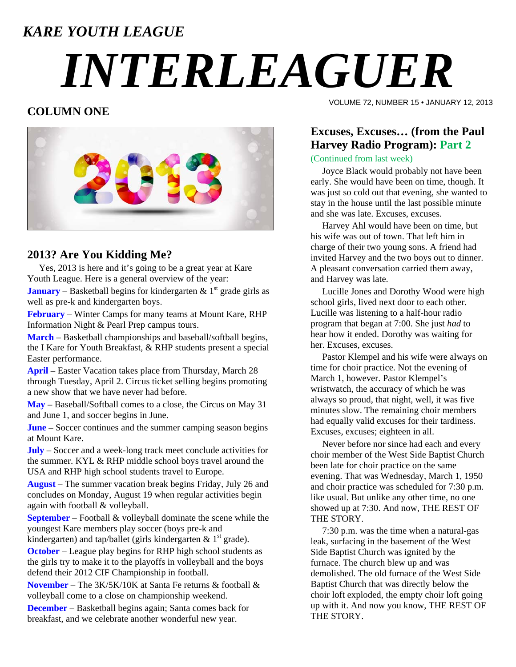### *KARE YOUTH LEAGUE*

# *INTERLEAGUER*

#### **COLUMN ONE**



#### **2013? Are You Kidding Me?**

 Yes, 2013 is here and it's going to be a great year at Kare Youth League. Here is a general overview of the year:

**January** – Basketball begins for kindergarten  $\&$  1<sup>st</sup> grade girls as well as pre-k and kindergarten boys.

**February** – Winter Camps for many teams at Mount Kare, RHP Information Night & Pearl Prep campus tours.

**March** – Basketball championships and baseball/softball begins, the I Kare for Youth Breakfast, & RHP students present a special Easter performance.

**April** – Easter Vacation takes place from Thursday, March 28 through Tuesday, April 2. Circus ticket selling begins promoting a new show that we have never had before.

**May** – Baseball/Softball comes to a close, the Circus on May 31 and June 1, and soccer begins in June.

**June** – Soccer continues and the summer camping season begins at Mount Kare.

**July** – Soccer and a week-long track meet conclude activities for the summer. KYL & RHP middle school boys travel around the USA and RHP high school students travel to Europe.

**August** – The summer vacation break begins Friday, July 26 and concludes on Monday, August 19 when regular activities begin again with football & volleyball.

**September** – Football & volleyball dominate the scene while the youngest Kare members play soccer (boys pre-k and kindergarten) and tap/ballet (girls kindergarten  $\& 1<sup>st</sup>$  grade).

**October** – League play begins for RHP high school students as the girls try to make it to the playoffs in volleyball and the boys defend their 2012 CIF Championship in football.

**November** – The 3K/5K/10K at Santa Fe returns & football & volleyball come to a close on championship weekend.

**December** – Basketball begins again; Santa comes back for breakfast, and we celebrate another wonderful new year.

VOLUME 72, NUMBER 15 • JANUARY 12, 2013

#### **Excuses, Excuses… (from the Paul Harvey Radio Program): Part 2**

(Continued from last week)

 Joyce Black would probably not have been early. She would have been on time, though. It was just so cold out that evening, she wanted to stay in the house until the last possible minute and she was late. Excuses, excuses.

 Harvey Ahl would have been on time, but his wife was out of town. That left him in charge of their two young sons. A friend had invited Harvey and the two boys out to dinner. A pleasant conversation carried them away, and Harvey was late.

 Lucille Jones and Dorothy Wood were high school girls, lived next door to each other. Lucille was listening to a half-hour radio program that began at 7:00. She just *had* to hear how it ended. Dorothy was waiting for her. Excuses, excuses.

 Pastor Klempel and his wife were always on time for choir practice. Not the evening of March 1, however. Pastor Klempel's wristwatch, the accuracy of which he was always so proud, that night, well, it was five minutes slow. The remaining choir members had equally valid excuses for their tardiness. Excuses, excuses; eighteen in all.

 Never before nor since had each and every choir member of the West Side Baptist Church been late for choir practice on the same evening. That was Wednesday, March 1, 1950 and choir practice was scheduled for 7:30 p.m. like usual. But unlike any other time, no one showed up at 7:30. And now, THE REST OF THE STORY.

 7:30 p.m. was the time when a natural-gas leak, surfacing in the basement of the West Side Baptist Church was ignited by the furnace. The church blew up and was demolished. The old furnace of the West Side Baptist Church that was directly below the choir loft exploded, the empty choir loft going up with it. And now you know, THE REST OF THE STORY.